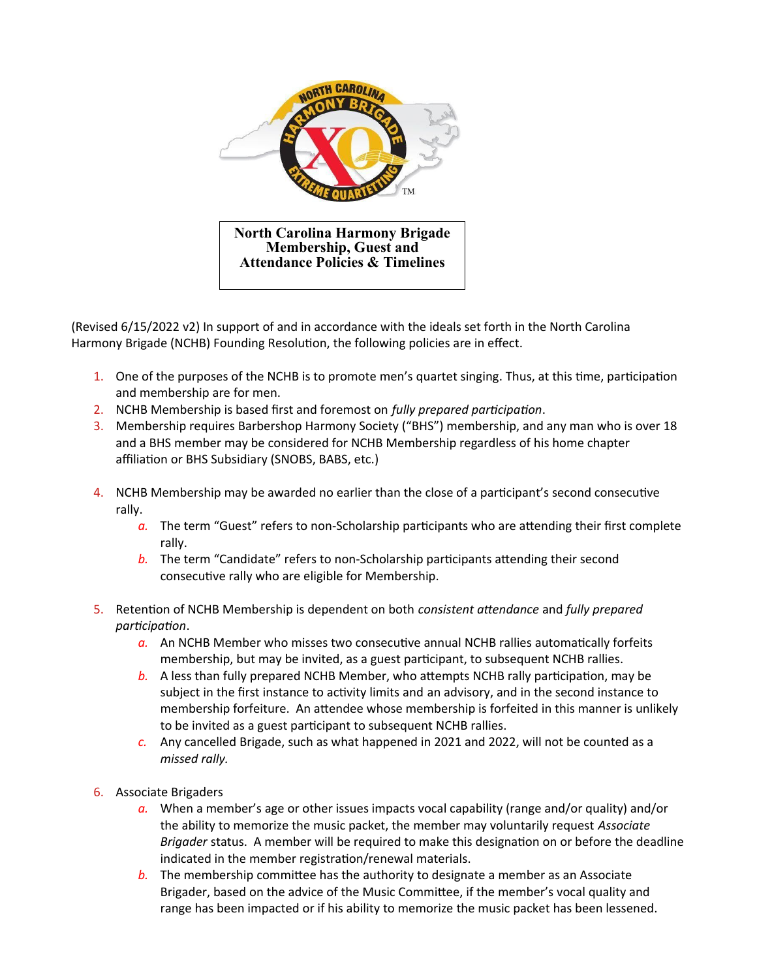

(Revised 6/15/2022 v2) In support of and in accordance with the ideals set forth in the North Carolina Harmony Brigade (NCHB) Founding Resolution, the following policies are in effect.

- 1. One of the purposes of the NCHB is to promote men's quartet singing. Thus, at this time, participation and membership are for men.
- 2. NCHB Membership is based first and foremost on *fully prepared participation*.
- 3. Membership requires Barbershop Harmony Society ("BHS") membership, and any man who is over 18 and a BHS member may be considered for NCHB Membership regardless of his home chapter affiliation or BHS Subsidiary (SNOBS, BABS, etc.)
- 4. NCHB Membership may be awarded no earlier than the close of a participant's second consecutive rally.
	- *a.* The term "Guest" refers to non-Scholarship participants who are attending their first complete rally.
	- *b.* The term "Candidate" refers to non-Scholarship participants attending their second consecutive rally who are eligible for Membership.
- 5. Retention of NCHB Membership is dependent on both *consistent attendance* and *fully prepared participation*.
	- *a.* An NCHB Member who misses two consecutive annual NCHB rallies automatically forfeits membership, but may be invited, as a guest participant, to subsequent NCHB rallies.
	- *b.* A less than fully prepared NCHB Member, who attempts NCHB rally participation, may be subject in the first instance to activity limits and an advisory, and in the second instance to membership forfeiture. An attendee whose membership is forfeited in this manner is unlikely to be invited as a guest participant to subsequent NCHB rallies.
	- *c.* Any cancelled Brigade, such as what happened in 2021 and 2022, will not be counted as a *missed rally.*
- 6. Associate Brigaders
	- *a.* When a member's age or other issues impacts vocal capability (range and/or quality) and/or the ability to memorize the music packet, the member may voluntarily request *Associate Brigader* status. A member will be required to make this designation on or before the deadline indicated in the member registration/renewal materials.
	- *b.* The membership committee has the authority to designate a member as an Associate Brigader, based on the advice of the Music Committee, if the member's vocal quality and range has been impacted or if his ability to memorize the music packet has been lessened.